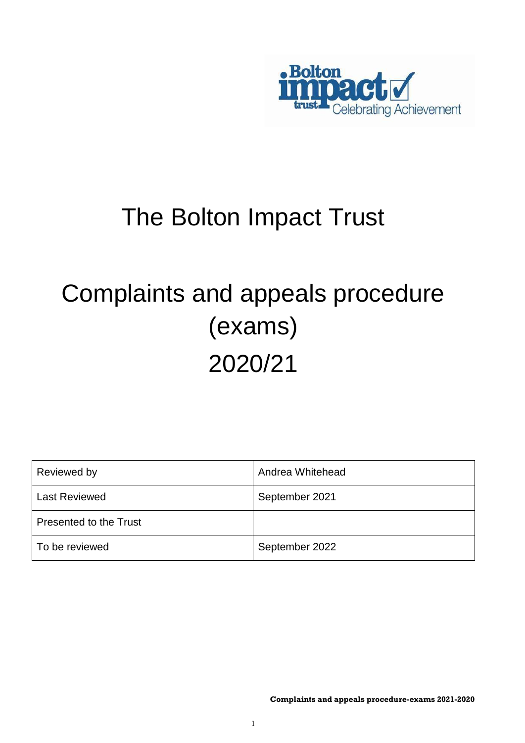

# The Bolton Impact Trust

# Complaints and appeals procedure (exams) 2020/21

| Reviewed by            | Andrea Whitehead |
|------------------------|------------------|
| <b>Last Reviewed</b>   | September 2021   |
| Presented to the Trust |                  |
| To be reviewed         | September 2022   |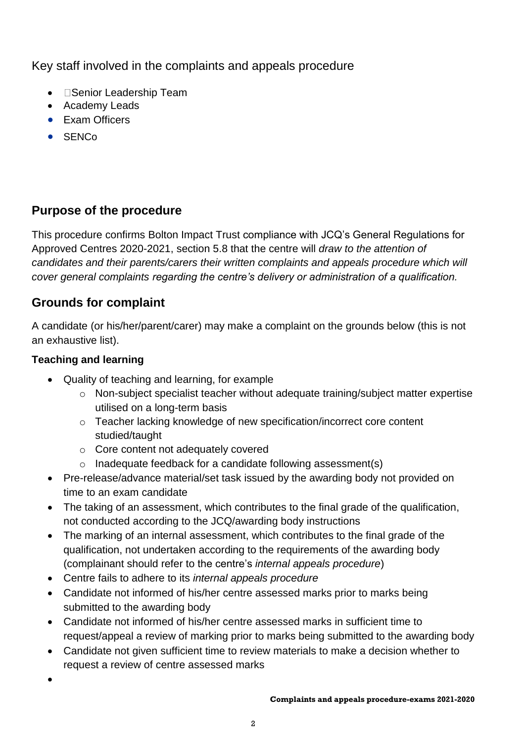Key staff involved in the complaints and appeals procedure

- **Senior Leadership Team**
- Academy Leads
- Exam Officers
- **•** SENCo

# **Purpose of the procedure**

This procedure confirms Bolton Impact Trust compliance with JCQ's General Regulations for Approved Centres 2020-2021, section 5.8 that the centre will *draw to the attention of candidates and their parents/carers their written complaints and appeals procedure which will cover general complaints regarding the centre's delivery or administration of a qualification.*

## **Grounds for complaint**

A candidate (or his/her/parent/carer) may make a complaint on the grounds below (this is not an exhaustive list).

#### **Teaching and learning**

- Quality of teaching and learning, for example
	- o Non-subject specialist teacher without adequate training/subject matter expertise utilised on a long-term basis
	- o Teacher lacking knowledge of new specification/incorrect core content studied/taught
	- o Core content not adequately covered
	- $\circ$  Inadequate feedback for a candidate following assessment(s)
- Pre-release/advance material/set task issued by the awarding body not provided on time to an exam candidate
- The taking of an assessment, which contributes to the final grade of the qualification, not conducted according to the JCQ/awarding body instructions
- The marking of an internal assessment, which contributes to the final grade of the qualification, not undertaken according to the requirements of the awarding body (complainant should refer to the centre's *internal appeals procedure*)
- Centre fails to adhere to its *internal appeals procedure*
- Candidate not informed of his/her centre assessed marks prior to marks being submitted to the awarding body
- Candidate not informed of his/her centre assessed marks in sufficient time to request/appeal a review of marking prior to marks being submitted to the awarding body
- Candidate not given sufficient time to review materials to make a decision whether to request a review of centre assessed marks
- $\bullet$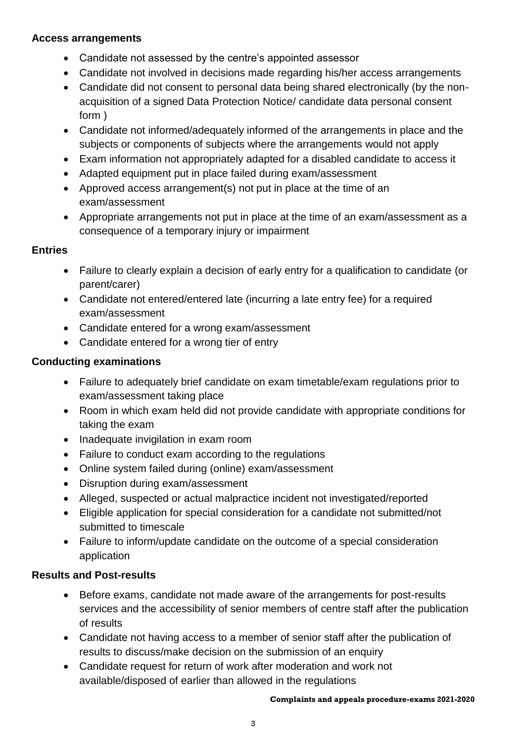#### **Access arrangements**

- Candidate not assessed by the centre's appointed assessor
- Candidate not involved in decisions made regarding his/her access arrangements
- Candidate did not consent to personal data being shared electronically (by the nonacquisition of a signed Data Protection Notice/ candidate data personal consent form )
- Candidate not informed/adequately informed of the arrangements in place and the subjects or components of subjects where the arrangements would not apply
- Exam information not appropriately adapted for a disabled candidate to access it
- Adapted equipment put in place failed during exam/assessment
- Approved access arrangement(s) not put in place at the time of an exam/assessment
- Appropriate arrangements not put in place at the time of an exam/assessment as a consequence of a temporary injury or impairment

#### **Entries**

- Failure to clearly explain a decision of early entry for a qualification to candidate (or parent/carer)
- Candidate not entered/entered late (incurring a late entry fee) for a required exam/assessment
- Candidate entered for a wrong exam/assessment
- Candidate entered for a wrong tier of entry

#### **Conducting examinations**

- Failure to adequately brief candidate on exam timetable/exam regulations prior to exam/assessment taking place
- Room in which exam held did not provide candidate with appropriate conditions for taking the exam
- Inadequate invigilation in exam room
- Failure to conduct exam according to the regulations
- Online system failed during (online) exam/assessment
- Disruption during exam/assessment
- Alleged, suspected or actual malpractice incident not investigated/reported
- Eligible application for special consideration for a candidate not submitted/not submitted to timescale
- Failure to inform/update candidate on the outcome of a special consideration application

#### **Results and Post-results**

- Before exams, candidate not made aware of the arrangements for post-results services and the accessibility of senior members of centre staff after the publication of results
- Candidate not having access to a member of senior staff after the publication of results to discuss/make decision on the submission of an enquiry
- Candidate request for return of work after moderation and work not available/disposed of earlier than allowed in the regulations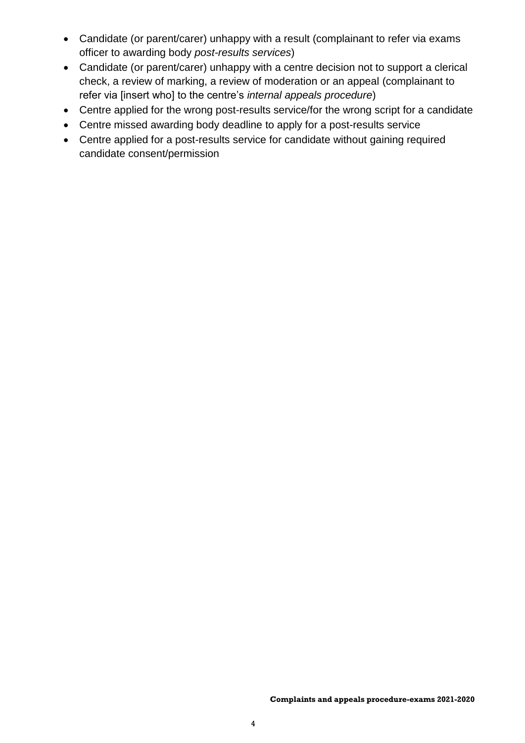- Candidate (or parent/carer) unhappy with a result (complainant to refer via exams officer to awarding body *post-results services*)
- Candidate (or parent/carer) unhappy with a centre decision not to support a clerical check, a review of marking, a review of moderation or an appeal (complainant to refer via [insert who] to the centre's *internal appeals procedure*)
- Centre applied for the wrong post-results service/for the wrong script for a candidate
- Centre missed awarding body deadline to apply for a post-results service
- Centre applied for a post-results service for candidate without gaining required candidate consent/permission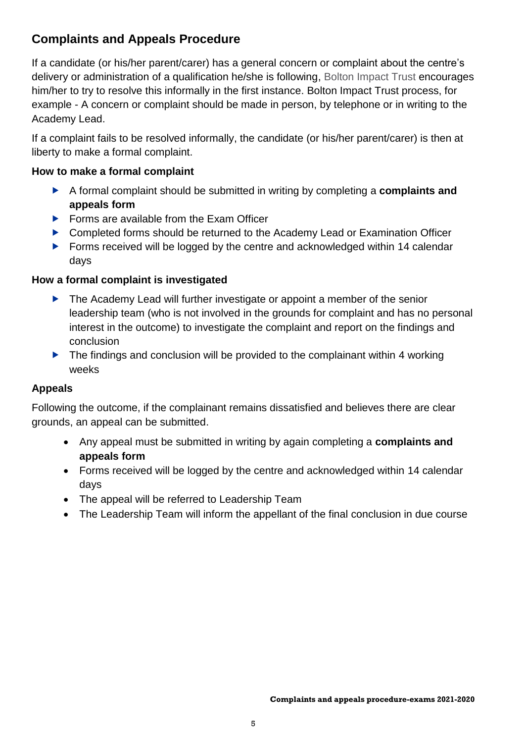### **Complaints and Appeals Procedure**

If a candidate (or his/her parent/carer) has a general concern or complaint about the centre's delivery or administration of a qualification he/she is following, Bolton Impact Trust encourages him/her to try to resolve this informally in the first instance. Bolton Impact Trust process, for example - A concern or complaint should be made in person, by telephone or in writing to the Academy Lead.

If a complaint fails to be resolved informally, the candidate (or his/her parent/carer) is then at liberty to make a formal complaint.

#### **How to make a formal complaint**

- A formal complaint should be submitted in writing by completing a **complaints and appeals form**
- ▶ Forms are available from the Exam Officer
- ▶ Completed forms should be returned to the Academy Lead or Examination Officer
- ▶ Forms received will be logged by the centre and acknowledged within 14 calendar days

#### **How a formal complaint is investigated**

- ▶ The Academy Lead will further investigate or appoint a member of the senior leadership team (who is not involved in the grounds for complaint and has no personal interest in the outcome) to investigate the complaint and report on the findings and conclusion
- $\blacktriangleright$  The findings and conclusion will be provided to the complainant within 4 working weeks

#### **Appeals**

Following the outcome, if the complainant remains dissatisfied and believes there are clear grounds, an appeal can be submitted.

- Any appeal must be submitted in writing by again completing a **complaints and appeals form**
- Forms received will be logged by the centre and acknowledged within 14 calendar days
- The appeal will be referred to Leadership Team
- The Leadership Team will inform the appellant of the final conclusion in due course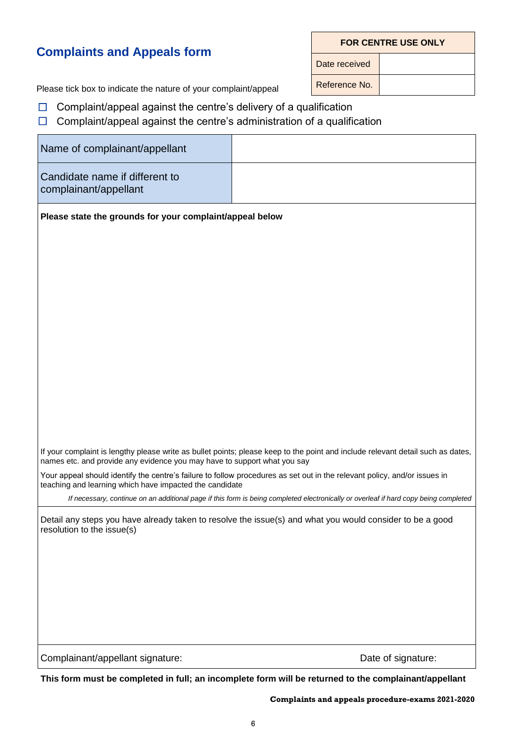#### **Complaints and Appeals form**

**FOR CENTRE USE ONLY**

Date received

Please tick box to indicate the nature of your complaint/appeal Reference No.

- $\Box$  Complaint/appeal against the centre's delivery of a qualification
- $\Box$  Complaint/appeal against the centre's administration of a qualification

| Name of complainant/appellant                                                                                                                                                        |                                                                                                                                      |  |  |  |  |
|--------------------------------------------------------------------------------------------------------------------------------------------------------------------------------------|--------------------------------------------------------------------------------------------------------------------------------------|--|--|--|--|
| Candidate name if different to<br>complainant/appellant                                                                                                                              |                                                                                                                                      |  |  |  |  |
| Please state the grounds for your complaint/appeal below                                                                                                                             |                                                                                                                                      |  |  |  |  |
|                                                                                                                                                                                      |                                                                                                                                      |  |  |  |  |
|                                                                                                                                                                                      |                                                                                                                                      |  |  |  |  |
|                                                                                                                                                                                      |                                                                                                                                      |  |  |  |  |
|                                                                                                                                                                                      |                                                                                                                                      |  |  |  |  |
|                                                                                                                                                                                      |                                                                                                                                      |  |  |  |  |
|                                                                                                                                                                                      |                                                                                                                                      |  |  |  |  |
|                                                                                                                                                                                      |                                                                                                                                      |  |  |  |  |
|                                                                                                                                                                                      |                                                                                                                                      |  |  |  |  |
|                                                                                                                                                                                      |                                                                                                                                      |  |  |  |  |
|                                                                                                                                                                                      |                                                                                                                                      |  |  |  |  |
| names etc. and provide any evidence you may have to support what you say                                                                                                             | If your complaint is lengthy please write as bullet points; please keep to the point and include relevant detail such as dates,      |  |  |  |  |
| Your appeal should identify the centre's failure to follow procedures as set out in the relevant policy, and/or issues in<br>teaching and learning which have impacted the candidate |                                                                                                                                      |  |  |  |  |
|                                                                                                                                                                                      | If necessary, continue on an additional page if this form is being completed electronically or overleaf if hard copy being completed |  |  |  |  |
| Detail any steps you have already taken to resolve the issue(s) and what you would consider to be a good<br>resolution to the issue(s)                                               |                                                                                                                                      |  |  |  |  |
|                                                                                                                                                                                      |                                                                                                                                      |  |  |  |  |
|                                                                                                                                                                                      |                                                                                                                                      |  |  |  |  |
|                                                                                                                                                                                      |                                                                                                                                      |  |  |  |  |
|                                                                                                                                                                                      |                                                                                                                                      |  |  |  |  |
|                                                                                                                                                                                      |                                                                                                                                      |  |  |  |  |
| Complainant/appellant signature:                                                                                                                                                     | Date of signature:                                                                                                                   |  |  |  |  |

**This form must be completed in full; an incomplete form will be returned to the complainant/appellant**

**Complaints and appeals procedure-exams 2021-2020**